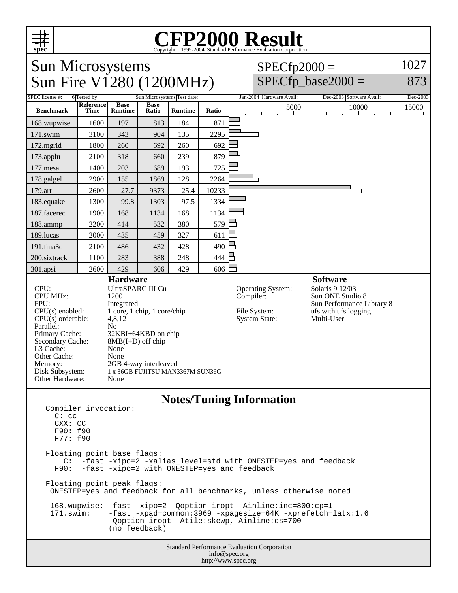

## Copyright ©1999-2004, Standard Performance Evaluation Corporation

Sun Microsystems Sun Fire V1280 (1200MHz)

 $SPECfp2000 =$ 1027

## $SPECfp\_base2000 =$

873

| $D$ and $\Gamma$ and $\Gamma$ and $\Gamma$ and $\Gamma$ and $\Gamma$ and $\Gamma$                                                                                                                                                                                                                                                                                                                                                                                                                                                                                  |                                             |                        |                      |                |       |                          |                                                           |                          |                                                                                                                           |       |
|--------------------------------------------------------------------------------------------------------------------------------------------------------------------------------------------------------------------------------------------------------------------------------------------------------------------------------------------------------------------------------------------------------------------------------------------------------------------------------------------------------------------------------------------------------------------|---------------------------------------------|------------------------|----------------------|----------------|-------|--------------------------|-----------------------------------------------------------|--------------------------|---------------------------------------------------------------------------------------------------------------------------|-------|
| SPEC license #:                                                                                                                                                                                                                                                                                                                                                                                                                                                                                                                                                    | Sun Microsystems Test date:<br>6 Tested by: |                        |                      |                |       | Jan-2004 Hardware Avail: |                                                           | Dec-2003 Software Avail: | Dec-2003                                                                                                                  |       |
| <b>Benchmark</b>                                                                                                                                                                                                                                                                                                                                                                                                                                                                                                                                                   | Reference<br>Time                           | <b>Base</b><br>Runtime | <b>Base</b><br>Ratio | <b>Runtime</b> | Ratio |                          |                                                           | 5000                     | 10000<br>and a second companies and a second companies of                                                                 | 15000 |
| 168.wupwise                                                                                                                                                                                                                                                                                                                                                                                                                                                                                                                                                        | 1600                                        | 197                    | 813                  | 184            | 871   |                          |                                                           |                          |                                                                                                                           |       |
| 171.swim                                                                                                                                                                                                                                                                                                                                                                                                                                                                                                                                                           | 3100                                        | 343                    | 904                  | 135            | 2295  |                          |                                                           |                          |                                                                                                                           |       |
| 172.mgrid                                                                                                                                                                                                                                                                                                                                                                                                                                                                                                                                                          | 1800                                        | 260                    | 692                  | 260            | 692   |                          |                                                           |                          |                                                                                                                           |       |
| 173.applu                                                                                                                                                                                                                                                                                                                                                                                                                                                                                                                                                          | 2100                                        | 318                    | 660                  | 239            | 879   |                          |                                                           |                          |                                                                                                                           |       |
| 177.mesa                                                                                                                                                                                                                                                                                                                                                                                                                                                                                                                                                           | 1400                                        | 203                    | 689                  | 193            | 725   |                          |                                                           |                          |                                                                                                                           |       |
| 178.galgel                                                                                                                                                                                                                                                                                                                                                                                                                                                                                                                                                         | 2900                                        | 155                    | 1869                 | 128            | 2264  |                          |                                                           |                          |                                                                                                                           |       |
| 179.art                                                                                                                                                                                                                                                                                                                                                                                                                                                                                                                                                            | 2600                                        | 27.7                   | 9373                 | 25.4           | 10233 |                          |                                                           |                          |                                                                                                                           |       |
| 183.equake                                                                                                                                                                                                                                                                                                                                                                                                                                                                                                                                                         | 1300                                        | 99.8                   | 1303                 | 97.5           | 1334  |                          |                                                           |                          |                                                                                                                           |       |
| 187.facerec                                                                                                                                                                                                                                                                                                                                                                                                                                                                                                                                                        | 1900                                        | 168                    | 1134                 | 168            | 1134  |                          |                                                           |                          |                                                                                                                           |       |
| 188.ammp                                                                                                                                                                                                                                                                                                                                                                                                                                                                                                                                                           | 2200                                        | 414                    | 532                  | 380            | 579   |                          |                                                           |                          |                                                                                                                           |       |
| 189.lucas                                                                                                                                                                                                                                                                                                                                                                                                                                                                                                                                                          | 2000                                        | 435                    | 459                  | 327            | 611   |                          |                                                           |                          |                                                                                                                           |       |
| 191.fma3d                                                                                                                                                                                                                                                                                                                                                                                                                                                                                                                                                          | 2100                                        | 486                    | 432                  | 428            | 490   |                          |                                                           |                          |                                                                                                                           |       |
| 200.sixtrack                                                                                                                                                                                                                                                                                                                                                                                                                                                                                                                                                       | 1100                                        | 283                    | 388                  | 248            | 444   |                          |                                                           |                          |                                                                                                                           |       |
| 301.apsi                                                                                                                                                                                                                                                                                                                                                                                                                                                                                                                                                           | 2600                                        | 429                    | 606                  | 429            | 606   |                          |                                                           |                          |                                                                                                                           |       |
| <b>Hardware</b><br>CPU:<br>UltraSPARC III Cu<br><b>CPU MHz:</b><br>1200<br>FPU:<br>Integrated<br>1 core, 1 chip, 1 core/chip<br>$CPU(s)$ enabled:<br>$CPU(s)$ orderable:<br>4,8,12<br>Parallel:<br>N <sub>o</sub><br>Primary Cache:<br>32KBI+64KBD on chip<br>Secondary Cache:<br>$8MB(I+D)$ off chip<br>L3 Cache:<br>None<br>Other Cache:<br>None<br>2GB 4-way interleaved<br>Memory:<br>Disk Subsystem:<br>1 x 36GB FUJITSU MAN3367M SUN36G<br>Other Hardware:<br>None                                                                                           |                                             |                        |                      |                |       | Compiler:                | Operating System:<br>File System:<br><b>System State:</b> |                          | <b>Software</b><br>Solaris 9 12/03<br>Sun ONE Studio 8<br>Sun Performance Library 8<br>ufs with ufs logging<br>Multi-User |       |
| <b>Notes/Tuning Information</b><br>Compiler invocation:<br>$C:$ $CC$<br>CXX: CC<br>F90: f90<br>F77: f90<br>Floating point base flags:<br>C: -fast -xipo=2 -xalias_level=std with ONESTEP=yes and feedback<br>F90: -fast -xipo=2 with ONESTEP=yes and feedback<br>Floating point peak flags:<br>ONESTEP=yes and feedback for all benchmarks, unless otherwise noted<br>168.wupwise: -fast -xipo=2 -Qoption iropt -Ainline:inc=800:cp=1<br>171.swim:<br>-fast -xpad=common:3969 -xpagesize=64K -xprefetch=latx:1.6<br>-Qoption iropt -Atile: skewp, -Ainline: cs=700 |                                             |                        |                      |                |       |                          |                                                           |                          |                                                                                                                           |       |
| (no feedback)<br>Standard Performance Evaluation Corporation                                                                                                                                                                                                                                                                                                                                                                                                                                                                                                       |                                             |                        |                      |                |       |                          |                                                           |                          |                                                                                                                           |       |

info@spec.org http://www.spec.org